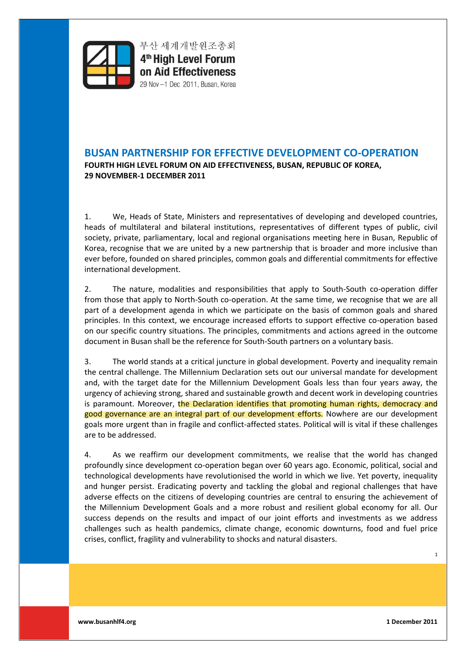

부산 세계개발원조총회 4<sup>th</sup> High Level Forum on Aid Effectiveness 29 Nov -1 Dec 2011, Busan, Korea

# **BUSAN PARTNERSHIP FOR EFFECTIVE DEVELOPMENT CO-OPERATION** FOURTH HIGH LEVEL FORUM ON AID EFFECTIVENESS, BUSAN, REPUBLIC OF KOREA, **29 NOVEMBER-1 DECEMBER 2011**

1. We, Heads of State, Ministers and representatives of developing and developed countries, heads of multilateral and bilateral institutions, representatives of different types of public, civil society, private, parliamentary, local and regional organisations meeting here in Busan, Republic of Korea, recognise that we are united by a new partnership that is broader and more inclusive than ever before, founded on shared principles, common goals and differential commitments for effective international development.

2. The nature, modalities and responsibilities that apply to South-South co-operation differ from those that apply to North-South co-operation. At the same time, we recognise that we are all part of a development agenda in which we participate on the basis of common goals and shared principles. In this context, we encourage increased efforts to support effective co-operation based on our specific country situations. The principles, commitments and actions agreed in the outcome document in Busan shall be the reference for South-South partners on a voluntary basis.

3. The world stands at a critical juncture in global development. Poverty and inequality remain the central challenge. The Millennium Declaration sets out our universal mandate for development and, with the target date for the Millennium Development Goals less than four years away, the urgency of achieving strong, shared and sustainable growth and decent work in developing countries is paramount. Moreover, the Declaration identifies that promoting human rights, democracy and good governance are an integral part of our development efforts. Nowhere are our development goals more urgent than in fragile and conflict-affected states. Political will is vital if these challenges are to be addressed.

4. As we reaffirm our development commitments, we realise that the world has changed profoundly since development co-operation began over 60 years ago. Economic, political, social and technological developments have revolutionised the world in which we live. Yet poverty, inequality and hunger persist. Eradicating poverty and tackling the global and regional challenges that have adverse effects on the citizens of developing countries are central to ensuring the achievement of the Millennium Development Goals and a more robust and resilient global economy for all. Our success depends on the results and impact of our joint efforts and investments as we address challenges such as health pandemics, climate change, economic downturns, food and fuel price crises, conflict, fragility and vulnerability to shocks and natural disasters.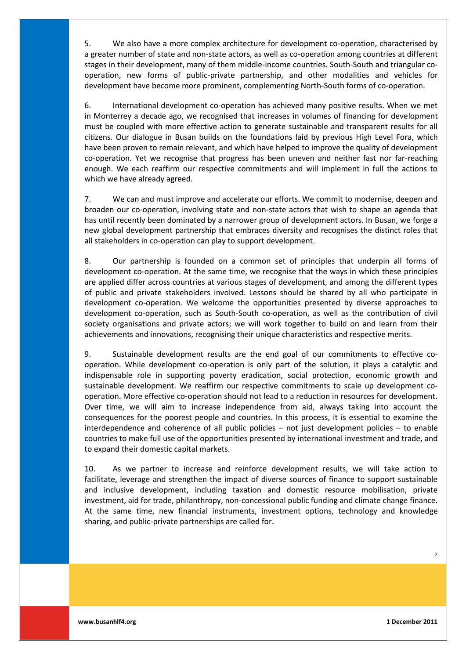5. We also have a more complex architecture for development co-operation, characterised by a greater number of state and non-state actors, as well as co-operation among countries at different stages in their development, many of them middle-income countries. South-South and triangular cooperation, new forms of public-private partnership, and other modalities and vehicles for development have become more prominent, complementing North-South forms of co-operation.

6. International development co-operation has achieved many positive results. When we met in Monterrey a decade ago, we recognised that increases in volumes of financing for development must be coupled with more effective action to generate sustainable and transparent results for all citizens. Our dialogue in Busan builds on the foundations laid by previous High Level Fora, which have been proven to remain relevant, and which have helped to improve the quality of development co-operation. Yet we recognise that progress has been uneven and neither fast nor far-reaching enough. We each reaffirm our respective commitments and will implement in full the actions to which we have already agreed.

7. We can and must improve and accelerate our efforts. We commit to modernise, deepen and broaden our co-operation, involving state and non-state actors that wish to shape an agenda that has until recently been dominated by a narrower group of development actors. In Busan, we forge a new global development partnership that embraces diversity and recognises the distinct roles that all stakeholders in co-operation can play to support development.

8. Our partnership is founded on a common set of principles that underpin all forms of development co-operation. At the same time, we recognise that the ways in which these principles are applied differ across countries at various stages of development, and among the different types of public and private stakeholders involved. Lessons should be shared by all who participate in development co-operation. We welcome the opportunities presented by diverse approaches to development co-operation, such as South-South co-operation, as well as the contribution of civil society organisations and private actors; we will work together to build on and learn from their achievements and innovations, recognising their unique characteristics and respective merits.

9. Sustainable development results are the end goal of our commitments to effective cooperation. While development co-operation is only part of the solution, it plays a catalytic and indispensable role in supporting poverty eradication, social protection, economic growth and sustainable development. We reaffirm our respective commitments to scale up development cooperation. More effective co-operation should not lead to a reduction in resources for development. Over time, we will aim to increase independence from aid, always taking into account the consequences for the poorest people and countries. In this process, it is essential to examine the interdependence and coherence of all public policies  $-$  not just development policies  $-$  to enable countries to make full use of the opportunities presented by international investment and trade, and to expand their domestic capital markets.

10. As we partner to increase and reinforce development results, we will take action to facilitate, leverage and strengthen the impact of diverse sources of finance to support sustainable and inclusive development, including taxation and domestic resource mobilisation, private investment, aid for trade, philanthropy, non-concessional public funding and climate change finance. At the same time, new financial instruments, investment options, technology and knowledge sharing, and public-private partnerships are called for.

 $\overline{2}$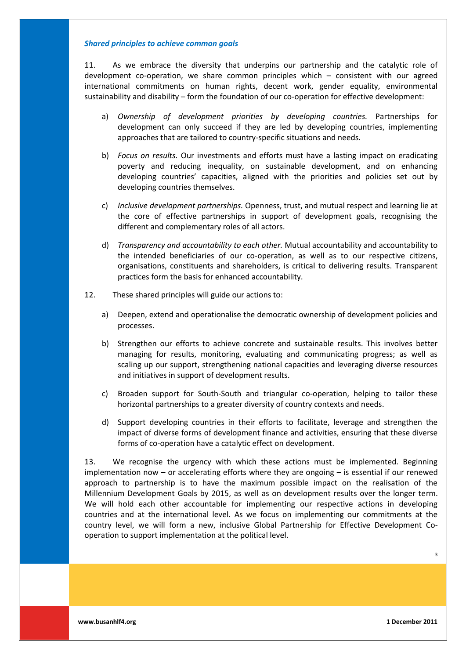#### *Shared'principles'to'achieve'common'goals*

11. As we embrace the diversity that underpins our partnership and the catalytic role of development co-operation, we share common principles which  $-$  consistent with our agreed international commitments on human rights, decent work, gender equality, environmental sustainability and disability - form the foundation of our co-operation for effective development:

- a) *Ownership of development priorities by developing countries.* Partnerships for development can only succeed if they are led by developing countries, implementing approaches that are tailored to country-specific situations and needs.
- b) *Focus on results.* Our investments and efforts must have a lasting impact on eradicating poverty and reducing inequality, on sustainable development, and on enhancing developing countries' capacities, aligned with the priorities and policies set out by developing countries themselves.
- c) *Inclusive development partnerships.* Openness, trust, and mutual respect and learning lie at the core of effective partnerships in support of development goals, recognising the different and complementary roles of all actors.
- d) *Transparency and accountability to each other.* Mutual accountability and accountability to the intended beneficiaries of our co-operation, as well as to our respective citizens, organisations, constituents and shareholders, is critical to delivering results. Transparent practices form the basis for enhanced accountability.
- 12. These shared principles will guide our actions to:
	- a) Deepen, extend and operationalise the democratic ownership of development policies and processes.
	- b) Strengthen our efforts to achieve concrete and sustainable results. This involves better managing for results, monitoring, evaluating and communicating progress; as well as scaling up our support, strengthening national capacities and leveraging diverse resources and initiatives in support of development results.
	- c) Broaden support for South-South and triangular co-operation, helping to tailor these horizontal partnerships to a greater diversity of country contexts and needs.
	- d) Support developing countries in their efforts to facilitate, leverage and strengthen the impact of diverse forms of development finance and activities, ensuring that these diverse forms of co-operation have a catalytic effect on development.

13. We recognise the urgency with which these actions must be implemented. Beginning implementation now  $-$  or accelerating efforts where they are ongoing  $-$  is essential if our renewed approach to partnership is to have the maximum possible impact on the realisation of the Millennium Development Goals by 2015, as well as on development results over the longer term. We will hold each other accountable for implementing our respective actions in developing countries and at the international level. As we focus on implementing our commitments at the country level, we will form a new, inclusive Global Partnership for Effective Development Cooperation to support implementation at the political level.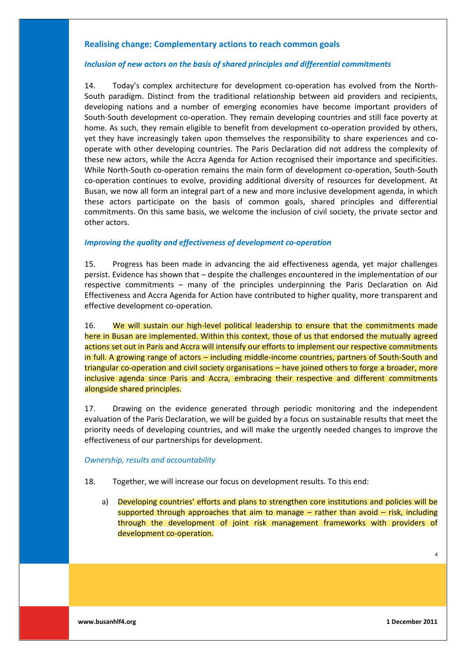# **Realising change: Complementary actions to reach common goals**

### *Inclusion'of'new'actors'on'the'basis'of'shared'principles'and'differential'commitments*

14. Today's complex architecture for development co-operation has evolved from the North-South paradigm. Distinct from the traditional relationship between aid providers and recipients, developing nations and a number of emerging economies have become important providers of South-South development co-operation. They remain developing countries and still face poverty at home. As such, they remain eligible to benefit from development co-operation provided by others, yet they have increasingly taken upon themselves the responsibility to share experiences and cooperate with other developing countries. The Paris Declaration did not address the complexity of these new actors, while the Accra Agenda for Action recognised their importance and specificities. While North-South co-operation remains the main form of development co-operation, South-South co-operation continues to evolve, providing additional diversity of resources for development. At Busan, we now all form an integral part of a new and more inclusive development agenda, in which these actors participate on the basis of common goals, shared principles and differential commitments. On this same basis, we welcome the inclusion of civil society, the private sector and other actors.

### *Improving the quality and effectiveness of development co-operation*

15. Progress has been made in advancing the aid effectiveness agenda, vet major challenges persist. Evidence has shown that  $-$  despite the challenges encountered in the implementation of our respective commitments - many of the principles underpinning the Paris Declaration on Aid Effectiveness and Accra Agenda for Action have contributed to higher quality, more transparent and effective development co-operation.

16. We will sustain our high-level political leadership to ensure that the commitments made here in Busan are implemented. Within this context, those of us that endorsed the mutually agreed actions set out in Paris and Accra will intensify our efforts to implement our respective commitments in full. A growing range of actors – including middle-income countries, partners of South-South and triangular co-operation and civil society organisations – have joined others to forge a broader, more inclusive agenda since Paris and Accra, embracing their respective and different commitments alongside shared principles.

17. Drawing on the evidence generated through periodic monitoring and the independent evaluation of the Paris Declaration, we will be guided by a focus on sustainable results that meet the priority needs of developing countries, and will make the urgently needed changes to improve the effectiveness of our partnerships for development.

#### **Ownership, results and accountability**

- 18. Together, we will increase our focus on development results. To this end:
	- a) Developing countries' efforts and plans to strengthen core institutions and policies will be supported through approaches that aim to manage  $-$  rather than avoid  $-$  risk, including through the development of joint risk management frameworks with providers of development co-operation.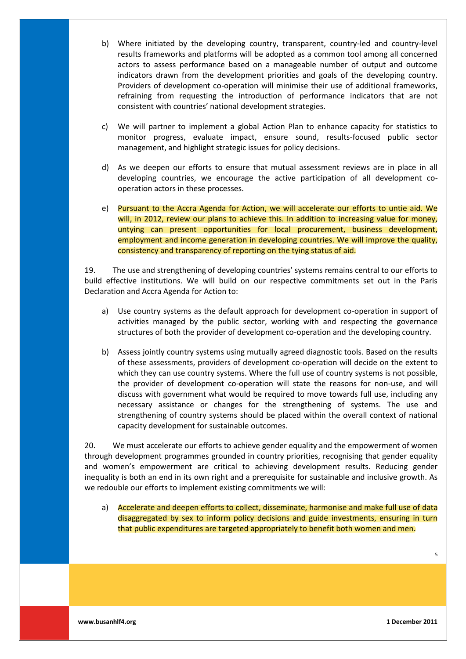- b) Where initiated by the developing country, transparent, country-led and country-level results frameworks and platforms will be adopted as a common tool among all concerned actors to assess performance based on a manageable number of output and outcome indicators drawn from the development priorities and goals of the developing country. Providers of development co-operation will minimise their use of additional frameworks, refraining from requesting the introduction of performance indicators that are not consistent with countries' national development strategies.
- c) We will partner to implement a global Action Plan to enhance capacity for statistics to monitor progress, evaluate impact, ensure sound, results-focused public sector management, and highlight strategic issues for policy decisions.
- d) As we deepen our efforts to ensure that mutual assessment reviews are in place in all developing countries, we encourage the active participation of all development cooperation actors in these processes.
- e) Pursuant to the Accra Agenda for Action, we will accelerate our efforts to untie aid. We will, in 2012, review our plans to achieve this. In addition to increasing value for money, untying can present opportunities for local procurement, business development, employment and income generation in developing countries. We will improve the quality, consistency and transparency of reporting on the tying status of aid.

19. The use and strengthening of developing countries' systems remains central to our efforts to build effective institutions. We will build on our respective commitments set out in the Paris Declaration and Accra Agenda for Action to:

- a) Use country systems as the default approach for development co-operation in support of activities managed by the public sector, working with and respecting the governance structures of both the provider of development co-operation and the developing country.
- b) Assess jointly country systems using mutually agreed diagnostic tools. Based on the results of these assessments, providers of development co-operation will decide on the extent to which they can use country systems. Where the full use of country systems is not possible, the provider of development co-operation will state the reasons for non-use, and will discuss with government what would be required to move towards full use, including any necessary assistance or changes for the strengthening of systems. The use and strengthening of country systems should be placed within the overall context of national capacity development for sustainable outcomes.

20. We must accelerate our efforts to achieve gender equality and the empowerment of women through development programmes grounded in country priorities, recognising that gender equality and women's empowerment are critical to achieving development results. Reducing gender inequality is both an end in its own right and a prerequisite for sustainable and inclusive growth. As we redouble our efforts to implement existing commitments we will:

a) Accelerate and deepen efforts to collect, disseminate, harmonise and make full use of data disaggregated by sex to inform policy decisions and guide investments, ensuring in turn that public expenditures are targeted appropriately to benefit both women and men.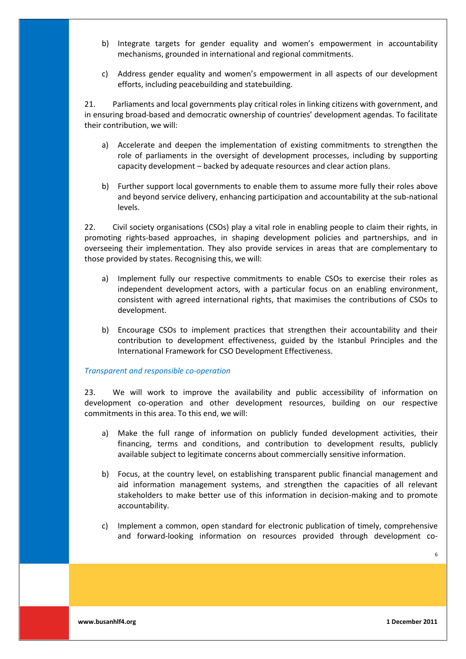- b) Integrate targets for gender equality and women's empowerment in accountability mechanisms, grounded in international and regional commitments.
- c) Address gender equality and women's empowerment in all aspects of our development efforts, including peacebuilding and statebuilding.

21. Parliaments and local governments play critical roles in linking citizens with government, and in ensuring broad-based and democratic ownership of countries' development agendas. To facilitate their contribution, we will:

- a) Accelerate and deepen the implementation of existing commitments to strengthen the role of parliaments in the oversight of development processes, including by supporting capacity development - backed by adequate resources and clear action plans.
- b) Further support local governments to enable them to assume more fully their roles above and beyond service delivery, enhancing participation and accountability at the sub-national levels.

22. Civil society organisations (CSOs) play a vital role in enabling people to claim their rights, in promoting rights-based approaches, in shaping development policies and partnerships, and in overseeing their implementation. They also provide services in areas that are complementary to those provided by states. Recognising this, we will:

- a) Implement fully our respective commitments to enable CSOs to exercise their roles as independent development actors, with a particular focus on an enabling environment, consistent with agreed international rights, that maximises the contributions of CSOs to development.
- b) Encourage CSOs to implement practices that strengthen their accountability and their contribution to development effectiveness, guided by the Istanbul Principles and the International Framework for CSO Development Effectiveness.

#### *Transparent\*and\*responsible\*co=operation*

23. We will work to improve the availability and public accessibility of information on development co-operation and other development resources, building on our respective commitments in this area. To this end, we will:

- a) Make the full range of information on publicly funded development activities, their financing, terms and conditions, and contribution to development results, publicly available subject to legitimate concerns about commercially sensitive information.
- b) Focus, at the country level, on establishing transparent public financial management and aid information management systems, and strengthen the capacities of all relevant stakeholders to make better use of this information in decision-making and to promote accountability.
- c) Implement a common, open standard for electronic publication of timely, comprehensive and forward-looking information on resources provided through development co-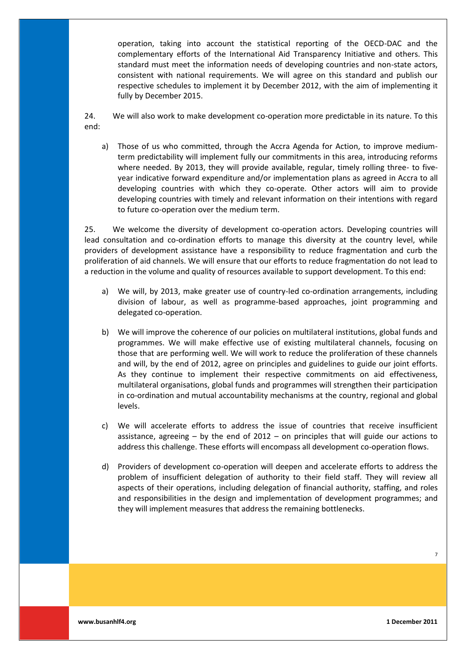operation, taking into account the statistical reporting of the OECD-DAC and the complementary efforts of the International Aid Transparency Initiative and others. This standard must meet the information needs of developing countries and non-state actors, consistent with national requirements. We will agree on this standard and publish our respective schedules to implement it by December 2012, with the aim of implementing it fully by December 2015.

24. We will also work to make development co-operation more predictable in its nature. To this end:

a) Those of us who committed, through the Accra Agenda for Action, to improve mediumterm predictability will implement fully our commitments in this area, introducing reforms where needed. By 2013, they will provide available, regular, timely rolling three- to fiveyear indicative forward expenditure and/or implementation plans as agreed in Accra to all developing countries with which they co-operate. Other actors will aim to provide developing countries with timely and relevant information on their intentions with regard to future co-operation over the medium term.

25. We welcome the diversity of development co-operation actors. Developing countries will lead consultation and co-ordination efforts to manage this diversity at the country level, while providers of development assistance have a responsibility to reduce fragmentation and curb the proliferation of aid channels. We will ensure that our efforts to reduce fragmentation do not lead to a reduction in the volume and quality of resources available to support development. To this end:

- a) We will, by 2013, make greater use of country-led co-ordination arrangements, including division of labour, as well as programme-based approaches, joint programming and delegated co-operation.
- b) We will improve the coherence of our policies on multilateral institutions, global funds and programmes. We will make effective use of existing multilateral channels, focusing on those that are performing well. We will work to reduce the proliferation of these channels and will, by the end of 2012, agree on principles and guidelines to guide our joint efforts. As they continue to implement their respective commitments on aid effectiveness, multilateral organisations, global funds and programmes will strengthen their participation in co-ordination and mutual accountability mechanisms at the country, regional and global levels.
- c) We will accelerate efforts to address the issue of countries that receive insufficient assistance, agreeing  $-$  by the end of 2012  $-$  on principles that will guide our actions to address this challenge. These efforts will encompass all development co-operation flows.
- d) Providers of development co-operation will deepen and accelerate efforts to address the problem of insufficient delegation of authority to their field staff. They will review all aspects of their operations, including delegation of financial authority, staffing, and roles and responsibilities in the design and implementation of development programmes; and they will implement measures that address the remaining bottlenecks.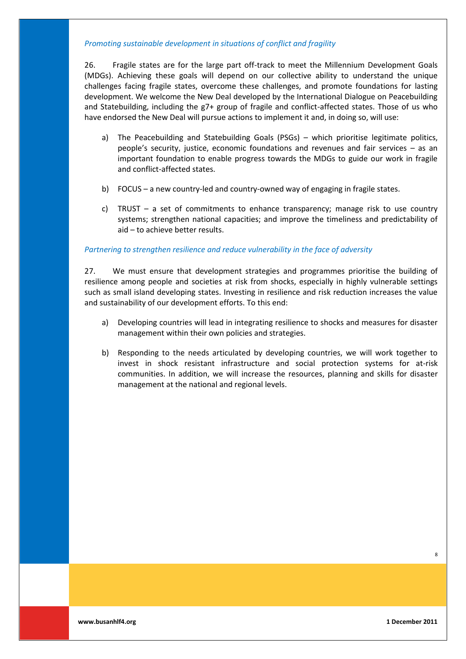## *Promoting sustainable development in situations of conflict and fragility*

26. Fragile states are for the large part off-track to meet the Millennium Development Goals (MDGs). Achieving these goals will depend on our collective ability to understand the unique challenges facing fragile states, overcome these challenges, and promote foundations for lasting development. We welcome the New Deal developed by the International Dialogue on Peacebuilding and Statebuilding, including the g7+ group of fragile and conflict-affected states. Those of us who have endorsed the New Deal will pursue actions to implement it and, in doing so, will use:

- a) The Peacebuilding and Statebuilding Goals (PSGs) which prioritise legitimate politics, people's security, justice, economic foundations and revenues and fair services  $-$  as an important foundation to enable progress towards the MDGs to guide our work in fragile and conflict-affected states.
- b) FOCUS a new country-led and country-owned way of engaging in fragile states.
- c) TRUST  $-$  a set of commitments to enhance transparency; manage risk to use country systems; strengthen national capacities; and improve the timeliness and predictability of  $aid - to achieve better results.$

#### Partnering to strengthen resilience and reduce vulnerability in the face of adversity

27. We must ensure that development strategies and programmes prioritise the building of resilience among people and societies at risk from shocks, especially in highly vulnerable settings such as small island developing states. Investing in resilience and risk reduction increases the value and sustainability of our development efforts. To this end:

- a) Developing countries will lead in integrating resilience to shocks and measures for disaster management within their own policies and strategies.
- b) Responding to the needs articulated by developing countries, we will work together to invest in shock resistant infrastructure and social protection systems for at-risk communities. In addition, we will increase the resources, planning and skills for disaster management at the national and regional levels.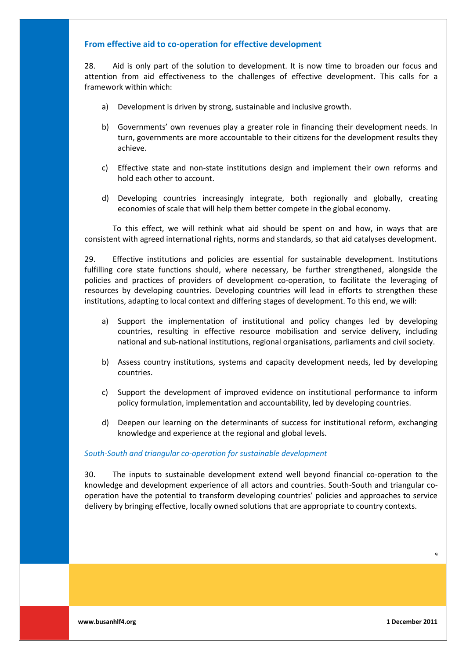# From effective aid to co-operation for effective development

28. Aid is only part of the solution to development. It is now time to broaden our focus and attention from aid effectiveness to the challenges of effective development. This calls for a framework within which:

- a) Development is driven by strong, sustainable and inclusive growth.
- b) Governments' own revenues play a greater role in financing their development needs. In turn, governments are more accountable to their citizens for the development results they achieve.
- c) Effective state and non-state institutions design and implement their own reforms and hold each other to account.
- d) Developing countries increasingly integrate, both regionally and globally, creating economies of scale that will help them better compete in the global economy.

To this effect, we will rethink what aid should be spent on and how, in ways that are consistent with agreed international rights, norms and standards, so that aid catalyses development.

29. Effective institutions and policies are essential for sustainable development. Institutions fulfilling core state functions should, where necessary, be further strengthened, alongside the policies and practices of providers of development co-operation, to facilitate the leveraging of resources by developing countries. Developing countries will lead in efforts to strengthen these institutions, adapting to local context and differing stages of development. To this end, we will:

- a) Support the implementation of institutional and policy changes led by developing countries, resulting in effective resource mobilisation and service delivery, including national and sub-national institutions, regional organisations, parliaments and civil society.
- b) Assess country institutions, systems and capacity development needs, led by developing countries.
- c) Support the development of improved evidence on institutional performance to inform policy formulation, implementation and accountability, led by developing countries.
- d) Deepen our learning on the determinants of success for institutional reform, exchanging knowledge and experience at the regional and global levels.

#### South-South and triangular co-operation for sustainable development

30. The inputs to sustainable development extend well beyond financial co-operation to the knowledge and development experience of all actors and countries. South-South and triangular cooperation have the potential to transform developing countries' policies and approaches to service delivery by bringing effective, locally owned solutions that are appropriate to country contexts.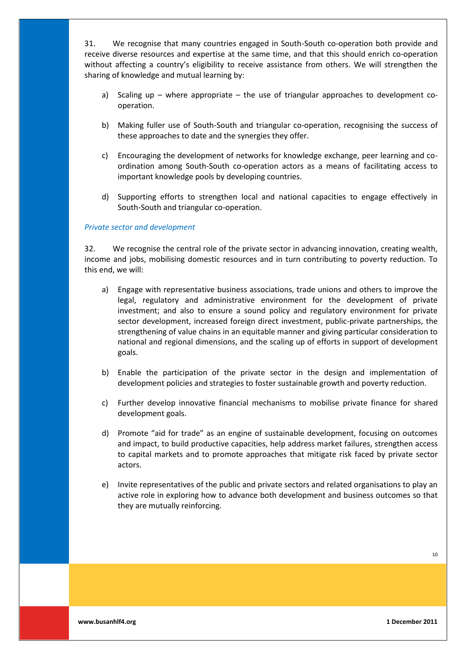31. We recognise that many countries engaged in South-South co-operation both provide and receive diverse resources and expertise at the same time, and that this should enrich co-operation without affecting a country's eligibility to receive assistance from others. We will strengthen the sharing of knowledge and mutual learning by:

- a) Scaling up  $-$  where appropriate  $-$  the use of triangular approaches to development cooperation.
- b) Making fuller use of South-South and triangular co-operation, recognising the success of these approaches to date and the synergies they offer.
- c) Encouraging the development of networks for knowledge exchange, peer learning and coordination among South-South co-operation actors as a means of facilitating access to important knowledge pools by developing countries.
- d) Supporting efforts to strengthen local and national capacities to engage effectively in South-South and triangular co-operation.

### **Private sector and development**

32. We recognise the central role of the private sector in advancing innovation, creating wealth, income and jobs, mobilising domestic resources and in turn contributing to poverty reduction. To this end, we will:

- a) Engage with representative business associations, trade unions and others to improve the legal, regulatory and administrative environment for the development of private investment; and also to ensure a sound policy and regulatory environment for private sector development, increased foreign direct investment, public-private partnerships, the strengthening of value chains in an equitable manner and giving particular consideration to national and regional dimensions, and the scaling up of efforts in support of development goals.
- b) Enable the participation of the private sector in the design and implementation of development policies and strategies to foster sustainable growth and poverty reduction.
- c) Further develop innovative financial mechanisms to mobilise private finance for shared development goals.
- d) Promote "aid for trade" as an engine of sustainable development, focusing on outcomes and impact, to build productive capacities, help address market failures, strengthen access to capital markets and to promote approaches that mitigate risk faced by private sector actors.
- e) Invite representatives of the public and private sectors and related organisations to play an active role in exploring how to advance both development and business outcomes so that they are mutually reinforcing.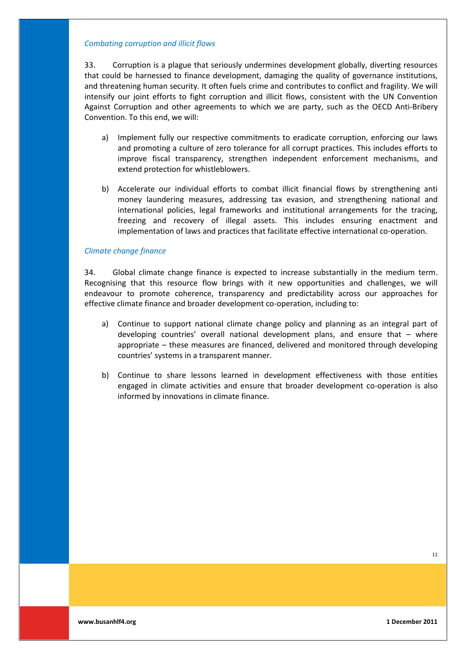#### *Combating\*corruption\*and\*illicit\*flows*

33. Corruption is a plague that seriously undermines development globally, diverting resources that could be harnessed to finance development, damaging the quality of governance institutions, and threatening human security. It often fuels crime and contributes to conflict and fragility. We will intensify our joint efforts to fight corruption and illicit flows, consistent with the UN Convention Against Corruption and other agreements to which we are party, such as the OECD Anti-Bribery Convention. To this end, we will:

- a) Implement fully our respective commitments to eradicate corruption, enforcing our laws and promoting a culture of zero tolerance for all corrupt practices. This includes efforts to improve fiscal transparency, strengthen independent enforcement mechanisms, and extend protection for whistleblowers.
- b) Accelerate our individual efforts to combat illicit financial flows by strengthening anti money laundering measures, addressing tax evasion, and strengthening national and international policies, legal frameworks and institutional arrangements for the tracing, freezing and recovery of illegal assets. This includes ensuring enactment and implementation of laws and practices that facilitate effective international co-operation.

#### *Climate\*change\*finance*

34. Global climate change finance is expected to increase substantially in the medium term. Recognising that this resource flow brings with it new opportunities and challenges, we will endeavour to promote coherence, transparency and predictability across our approaches for effective climate finance and broader development co-operation, including to:

- a) Continue to support national climate change policy and planning as an integral part of developing countries' overall national development plans, and ensure that  $-$  where appropriate – these measures are financed, delivered and monitored through developing countries' systems in a transparent manner.
- b) Continue to share lessons learned in development effectiveness with those entities engaged in climate activities and ensure that broader development co-operation is also informed by innovations in climate finance.